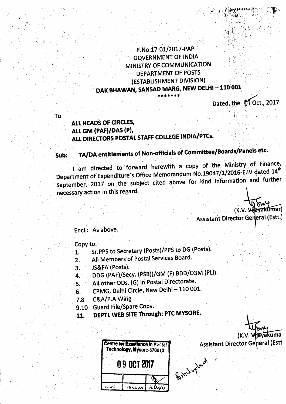# F.No.17-01/2017-PAP **GOVERNMENT OF INDIA** MINISTRY OF COMMUNICATION **DEPARTMENT OF POSTS** (ESTABLISHMENT DIVISION) DAK BHAWAN, SANSAD MARG, NEW DELHI - 110 001 \*\*\*\*\*\*\*

Dated, the MOct., 2017

To.

# ALL HEADS OF CIRCLES. ALL GM (PAF)/DAS (P), ALL DIRECTORS POSTAL STAFF COLLEGE INDIA/PTCs.

### TA/DA entitlements of Non-officials of Committee/Boards/Panels etc. Sub:

I am directed to forward herewith a copy of the Ministry of Finance, Department of Expenditure's Office Memorandum No.19047/1/2016-E.IV dated 14<sup>th</sup> September, 2017 on the subject cited above for kind information and further necessary action in this regard.

(K.V. Villevakumar)

**Assistant Director General (Estt.)** 

Encl: As above.

Copy to:

- Sr.PPS to Secretary (Posts)/PPS to DG (Posts). 1.
- All Members of Postal Services Board.  $2.$
- JS&FA (Posts).  $3.$
- DDG (PAF)/Secy. (PSB))/GM (F) BDD/CGM (PLI). 4.
- All other DDs. (G) in Postal Directorate.  $5.$
- CPMG, Delhi Circle, New Delhi 110 001. 6.
- C&A/P.A Wing 7.8
- 9.10 Guard File/Spare Copy.
- DEPTL WEB SITE Through: PTC MYSORE. 11.

| <b>Centre for Excellence in Postal</b><br>Technology, Mysore-570010 |  |  |
|---------------------------------------------------------------------|--|--|
| <b>09 OCT 2017</b>                                                  |  |  |
|                                                                     |  |  |
|                                                                     |  |  |

(K.V. Vilayakuma

**Assistant Director General (Estt** 

Bopper vpland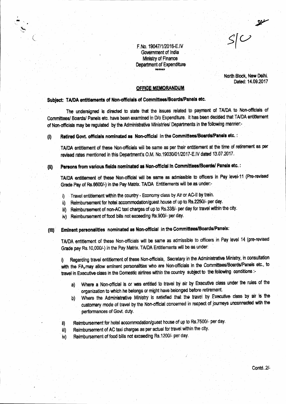F.No. 19047/1/2016-E.IV Government of India Ministry of Finance Department of Expenditure

North Block, New Delhi. Dated: 14.09.2017

 $S/C$ 

### **OFFICE MEMORANDUM**

## Subject: TA/DA entitiements of Non-officials of Committees/Boards/Panels etc.

The undersigned is directed to state that the issues related to payment of TA/DA to Non-officials of Committees/ Boards/ Panels etc. have been examined in D/o Expenditure. It has been decided that TA/DA entitlement of Non-officials may be regulated by the Administrative Ministries/ Departments in the following manner:-

Retired Govt. officials nominated as: Non-official in the Committees/Boards/Panels etc. :  $\mathbf{I}$ 

TA/DA entitlement of these Non-officials will be same as per their entitlement at the time of retirement as per revised rates mentioned in this Department's O.M. No. 19030/01/2017-E.IV dated 13.07.2017.

(4)

# Persons from various fields nominated as Non-official in Committees/Boards/ Panels etc. :

TA/DA entitlement of these Non-official will be same as admissible to officers in Pay level-11 (Pre-revised Grade Pay of Rs.6600/-) in the Pay Matrix. TA/DA Entitlements will be as under:-

- i) Travel entitlement within the country Economy class by Air or AC-II by train.
- Reimbursement for hotel accommodation/guest house of up to Rs.2250/- per day. ii)
- iii) Reimbursement of non-AC taxi charges of up to Rs.338/- per day for travel within the city.
- iv) Reimbursement of food bills not exceeding Rs.900/- per day.

#### Eminent personalities nominated as Non-official in the Committees/Boards/Panels: (111)

TA/DA entitlement of these Non-officials will be same as admissible to officers in Pay level 14 (pre-revised Grade pay Rs. 10,000/-) in the Pay Matrix. TA/DA Entitlements will be as under:

Regarding travel entitlement of these Non-officials, Secretary in the Administrative Ministry, in consultation j) with the FA, may allow eminent personalities who are Non-officials in the Committees/Boards/Panels etc., to travel in Executive class in the Domestic airlines within the country subject to the following conditions :-

- Where a Non-official is or was entitled to travel by air by Executive class under the rules of the a) organization to which he belongs or might have belonged before retirement.
- Where the Administrative Ministry is satisfied that the travel by Executive class by air is the b) customary mode of travel by the Non-official concerned in respect of journeys unconnected with the performances of Govt. duty.
- Reimbursement for hotel accommodation/guest house of up to Rs.7500/- per day. ii)
- Reimbursement of AC taxi charges as per actual for travel within the city. iii)
- Reimbursement of food bills not exceeding Rs. 1200/- per day. iv)